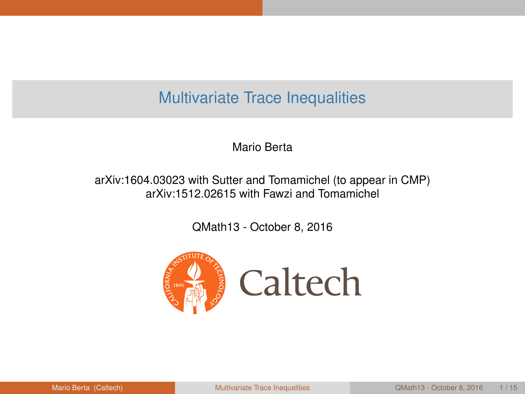#### <span id="page-0-0"></span>Multivariate Trace Inequalities

Mario Berta

arXiv:1604.03023 with Sutter and Tomamichel (to appear in CMP) arXiv:1512.02615 with Fawzi and Tomamichel

QMath13 - October 8, 2016

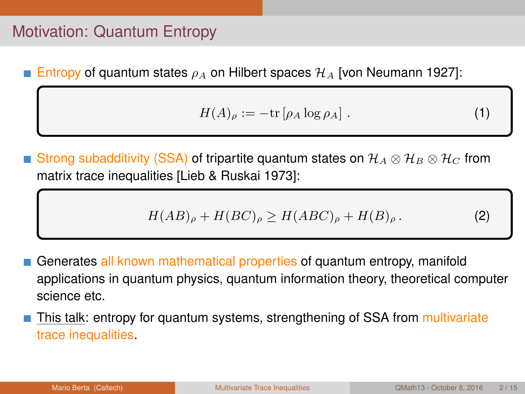# Motivation: Quantum Entropy

**Entropy of quantum states**  $\rho_A$  on Hilbert spaces  $\mathcal{H}_A$  [von Neumann 1927]:

$$
H(A)_{\rho} := -\text{tr}\left[\rho_A \log \rho_A\right].\tag{1}
$$

Strong subadditivity (SSA) of tripartite quantum states on  $\mathcal{H}_A \otimes \mathcal{H}_B \otimes \mathcal{H}_C$  from matrix trace inequalities [Lieb & Ruskai 1973]:

$$
H(AB)_{\rho} + H(BC)_{\rho} \ge H(ABC)_{\rho} + H(B)_{\rho}.
$$
 (2)

- Generates all known mathematical properties of quantum entropy, manifold applications in quantum physics, quantum information theory, theoretical computer science etc.
- This talk: entropy for quantum systems, strengthening of SSA from multivariate trace inequalities.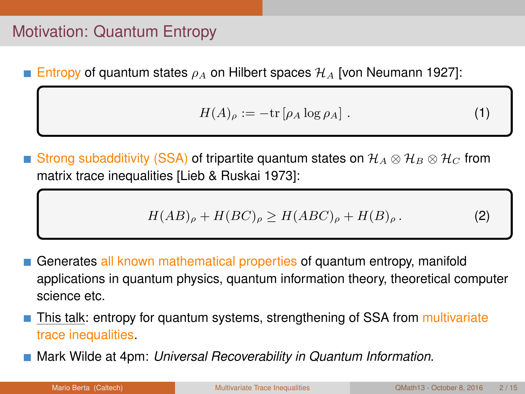# Motivation: Quantum Entropy

**Entropy of quantum states**  $\rho_A$  on Hilbert spaces  $\mathcal{H}_A$  [von Neumann 1927]:

$$
H(A)_{\rho} := -\text{tr}\left[\rho_A \log \rho_A\right].\tag{1}
$$

Strong subadditivity (SSA) of tripartite quantum states on  $\mathcal{H}_A \otimes \mathcal{H}_B \otimes \mathcal{H}_C$  from matrix trace inequalities [Lieb & Ruskai 1973]:

$$
H(AB)_{\rho} + H(BC)_{\rho} \ge H(ABC)_{\rho} + H(B)_{\rho}.
$$
 (2)

- Generates all known mathematical properties of quantum entropy, manifold applications in quantum physics, quantum information theory, theoretical computer science etc.
- This talk: entropy for quantum systems, strengthening of SSA from multivariate trace inequalities.
- Mark Wilde at 4pm: *Universal Recoverability in Quantum Information*.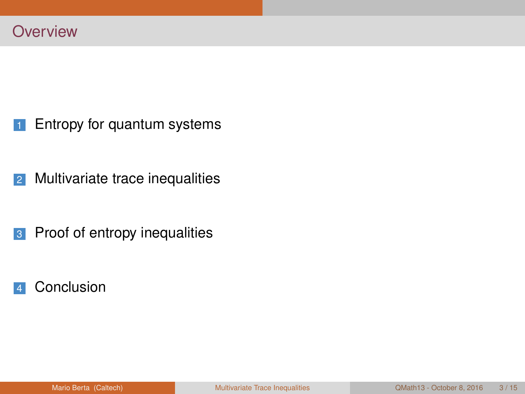- [Entropy for quantum systems](#page-4-0)
- [Multivariate trace inequalities](#page-26-0)
- [Proof of entropy inequalities](#page-33-0)
- [Conclusion](#page-35-0)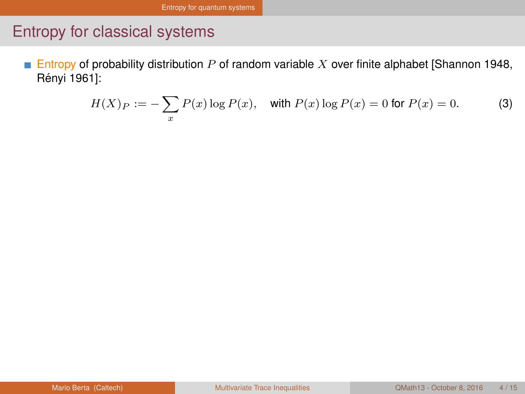<span id="page-4-0"></span>**Entropy of probability distribution P of random variable X over finite alphabet [Shannon 1948,** Rényi 1961]:

$$
H(X)P = -\sum_{x} P(x) \log P(x), \quad \text{with } P(x) \log P(x) = 0 \text{ for } P(x) = 0. \tag{3}
$$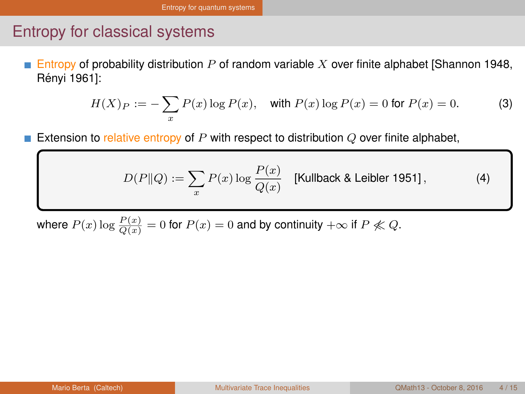<span id="page-5-0"></span>Entropy of probability distribution  $P$  of random variable  $X$  over finite alphabet [Shannon 1948, П Rényi 1961]:

$$
H(X)P = -\sum_{x} P(x) \log P(x), \quad \text{with } P(x) \log P(x) = 0 \text{ for } P(x) = 0. \tag{3}
$$

Extension to relative entropy of  $P$  with respect to distribution  $Q$  over finite alphabet,

$$
D(P||Q) := \sum_{x} P(x) \log \frac{P(x)}{Q(x)} \quad \text{[Kullback & Leibler 1951]},\tag{4}
$$

where  $P(x) \log \frac{P(x)}{Q(x)} = 0$  for  $P(x) = 0$  and by continuity  $+\infty$  if  $P \not\ll Q$ .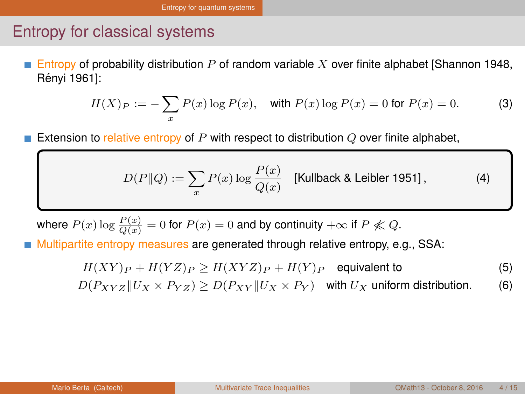<span id="page-6-0"></span>Entropy of probability distribution  $P$  of random variable  $X$  over finite alphabet [Shannon 1948, Rényi 1961]:

$$
H(X)P = -\sum_{x} P(x) \log P(x), \quad \text{with } P(x) \log P(x) = 0 \text{ for } P(x) = 0. \tag{3}
$$

Extension to relative entropy of  $P$  with respect to distribution  $Q$  over finite alphabet,

$$
D(P||Q) := \sum_{x} P(x) \log \frac{P(x)}{Q(x)} \quad \text{[Kullback & Leibler 1951]},\tag{4}
$$

where  $P(x) \log \frac{P(x)}{Q(x)} = 0$  for  $P(x) = 0$  and by continuity  $+\infty$  if  $P \not\ll Q$ .

Multipartite entropy measures are generated through relative entropy, e.g., SSA:

$$
H(XY)_P + H(YZ)_P \ge H(XYZ)_P + H(Y)_P
$$
 equivalent to  

$$
D(P_{XYZ}||U_X \times P_{YZ}) \ge D(P_{XY}||U_X \times P_Y)
$$
 with  $U_X$  uniform distribution. (6)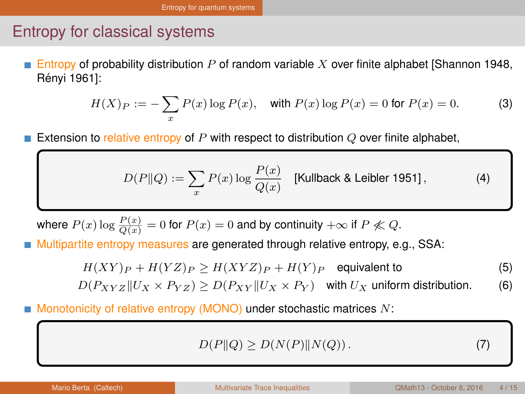<span id="page-7-0"></span>Entropy of probability distribution P of random variable X over finite alphabet [Shannon 1948, Rényi 1961]:

$$
H(X)P = -\sum_{x} P(x) \log P(x), \quad \text{with } P(x) \log P(x) = 0 \text{ for } P(x) = 0. \tag{3}
$$

Extension to relative entropy of  $P$  with respect to distribution  $Q$  over finite alphabet,

$$
D(P||Q) := \sum_{x} P(x) \log \frac{P(x)}{Q(x)}
$$
 [Kullback & Leibler 1951], (4)

where  $P(x) \log \frac{P(x)}{Q(x)} = 0$  for  $P(x) = 0$  and by continuity  $+\infty$  if  $P \not\ll Q$ .

Multipartite entropy measures are generated through relative entropy, e.g., SSA:

$$
H(XY)_P + H(YZ)_P \ge H(XYZ)_P + H(Y)_P
$$
 equivalent to  

$$
D(P_{XYZ}||U_X \times P_{YZ}) \ge D(P_{XY}||U_X \times P_Y)
$$
 with  $U_X$  uniform distribution. (6)

Monotonicity of relative entropy (MONO) under stochastic matrices N:

$$
D(P||Q) \ge D(N(P)||N(Q)). \tag{7}
$$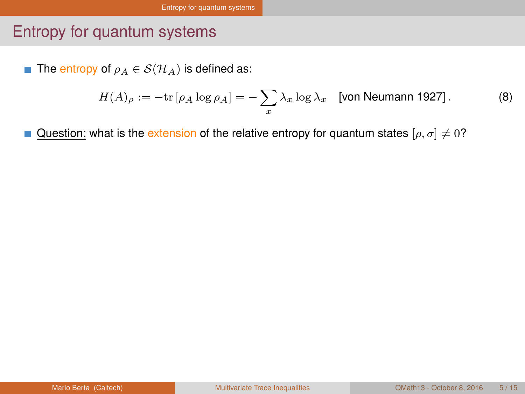#### <span id="page-8-0"></span>Entropy for quantum systems

**■** The entropy of  $\rho_A \in \mathcal{S}(\mathcal{H}_A)$  is defined as:

$$
H(A)_{\rho} := -\text{tr}\left[\rho_A \log \rho_A\right] = -\sum_{x} \lambda_x \log \lambda_x \quad \text{[von Neumann 1927]}.
$$
 (8)

Question: what is the extension of the relative entropy for quantum states  $[\rho, \sigma] \neq 0$ ?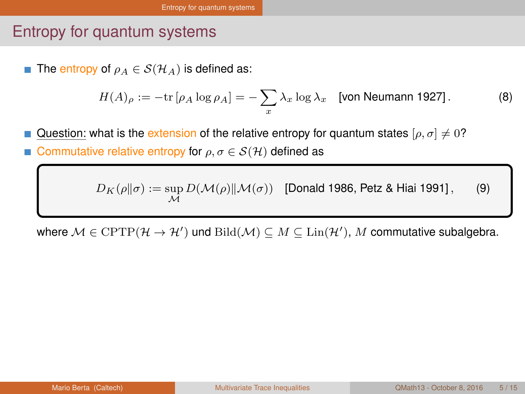#### <span id="page-9-0"></span>Entropy for quantum systems

The entropy of  $\rho_A \in \mathcal{S}(\mathcal{H}_A)$  is defined as:

$$
H(A)_{\rho} := -\text{tr}\left[\rho_A \log \rho_A\right] = -\sum_{x} \lambda_x \log \lambda_x \quad \text{[von Neumann 1927]}.
$$
 (8)

Question: what is the extension of the relative entropy for quantum states [ $\rho, \sigma$ ]  $\neq 0$ ?

Commutative relative entropy for  $\rho, \sigma \in \mathcal{S}(\mathcal{H})$  defined as

 $D_K(\rho\|\sigma) := \sup_{\mathcal{M}} D(\mathcal{M}(\rho) \| \mathcal{M}(\sigma))$  [Donald 1986, Petz & Hiai 1991], (9)

where  $\mathcal{M} \in \text{CPTP}(\mathcal{H} \to \mathcal{H}')$  und  $\text{Bild}(\mathcal{M}) \subseteq M \subseteq \text{Lin}(\mathcal{H}'), M$  commutative subalgebra.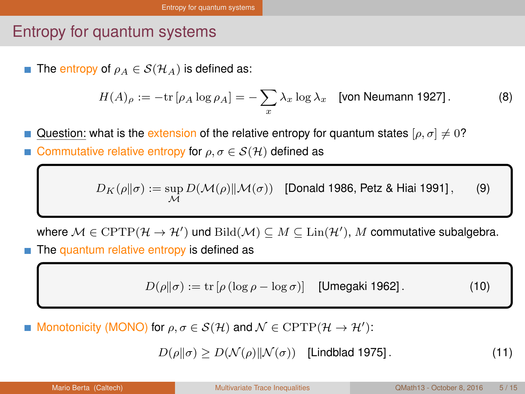#### <span id="page-10-0"></span>Entropy for quantum systems

**■** The entropy of  $\rho_A \in \mathcal{S}(\mathcal{H}_A)$  is defined as:

$$
H(A)_{\rho} := -\text{tr}\left[\rho_A \log \rho_A\right] = -\sum_{x} \lambda_x \log \lambda_x \quad \text{[von Neumann 1927]}.
$$
 (8)

Question: what is the extension of the relative entropy for quantum states [ $\rho, \sigma$ ]  $\neq 0$ ? Commutative relative entropy for  $\rho, \sigma \in \mathcal{S}(\mathcal{H})$  defined as

 $D_K(\rho\|\sigma) := \sup_{\mathcal{M}} D(\mathcal{M}(\rho) \| \mathcal{M}(\sigma))$  [Donald 1986, Petz & Hiai 1991], (9)

where  $\mathcal{M} \in \text{CPTP}(\mathcal{H} \to \mathcal{H}')$  und  $\text{Bild}(\mathcal{M}) \subseteq M \subseteq \text{Lin}(\mathcal{H}'), M$  commutative subalgebra.

The quantum relative entropy is defined as

 $D(\rho||\sigma) := \text{tr} [\rho (\log \rho - \log \sigma)]$  [Umegaki 1962]. (10)

Monotonicity (MONO) for  $\rho, \sigma \in \mathcal{S}(\mathcal{H})$  and  $\mathcal{N} \in \mathrm{CPTP}(\mathcal{H} \to \mathcal{H}')$ :

 $D(\rho||\sigma) > D(\mathcal{N}(\rho)||\mathcal{N}(\sigma))$  [Lindblad 1975]. (11)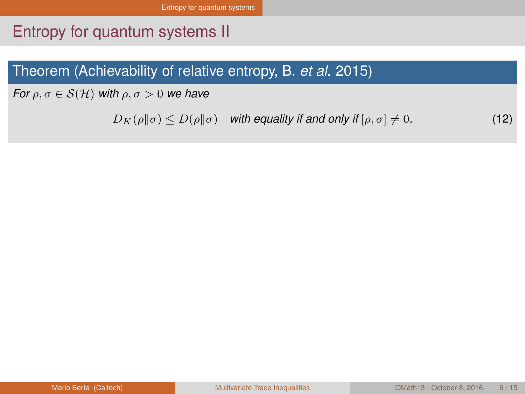# <span id="page-11-0"></span>Entropy for quantum systems II

#### Theorem (Achievability of relative entropy, B. *et al.* 2015)

*For*  $\rho, \sigma \in \mathcal{S}(\mathcal{H})$  *with*  $\rho, \sigma > 0$  *we have* 

 $D_K(\rho||\sigma) \leq D(\rho||\sigma)$  *with equality if and only if*  $[\rho, \sigma] \neq 0$ . (12)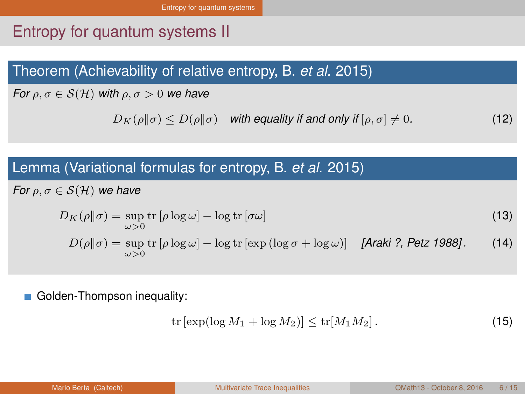# <span id="page-12-0"></span>Entropy for quantum systems II

#### Theorem (Achievability of relative entropy, B. *et al.* 2015)

*For*  $\rho, \sigma \in \mathcal{S}(\mathcal{H})$  *with*  $\rho, \sigma > 0$  *we have* 

 $D_K(\rho||\sigma) \leq D(\rho||\sigma)$  *with equality if and only if*  $[\rho, \sigma] \neq 0$ . (12)

#### Lemma (Variational formulas for entropy, B. *et al.* 2015)

*For*  $\rho, \sigma \in \mathcal{S}(\mathcal{H})$  *we have* 

$$
D_K(\rho||\sigma) = \sup_{\omega > 0} \text{tr} [\rho \log \omega] - \log \text{tr} [\sigma \omega]
$$
\n
$$
D(\rho||\sigma) = \sup_{\omega > 0} \text{tr} [\rho \log \omega] - \log \text{tr} [\exp (\log \sigma + \log \omega)] \quad \text{[Araki ?, Petz 1988]}.
$$
\n(14)

Golden-Thompson inequality:

$$
\operatorname{tr}\left[\exp(\log M_1 + \log M_2)\right] \le \operatorname{tr}[M_1 M_2].\tag{15}
$$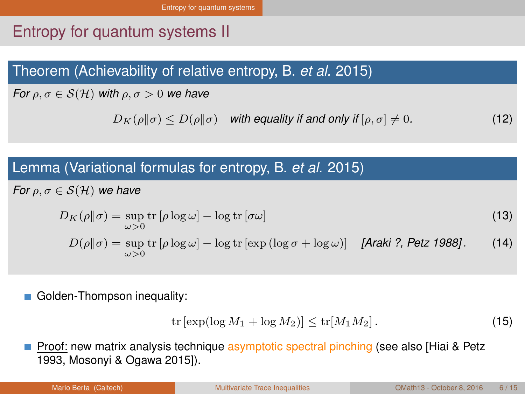# <span id="page-13-0"></span>Entropy for quantum systems II

#### Theorem (Achievability of relative entropy, B. *et al.* 2015)

*For*  $\rho, \sigma \in \mathcal{S}(\mathcal{H})$  *with*  $\rho, \sigma > 0$  *we have* 

 $D_K(\rho||\sigma) \leq D(\rho||\sigma)$  *with equality if and only if*  $[\rho, \sigma] \neq 0$ . (12)

#### Lemma (Variational formulas for entropy, B. *et al.* 2015)

*For*  $\rho, \sigma \in \mathcal{S}(\mathcal{H})$  *we have* 

$$
D_K(\rho||\sigma) = \sup_{\omega > 0} \text{tr} [\rho \log \omega] - \log \text{tr} [\sigma \omega]
$$
  
\n
$$
D(\rho||\sigma) = \sup_{\omega > 0} \text{tr} [\rho \log \omega] - \log \text{tr} [\exp (\log \sigma + \log \omega)]
$$
 [Araki ?, Petz 1988]. (14)

Golden-Thompson inequality:

$$
\operatorname{tr}\left[\exp(\log M_1 + \log M_2)\right] \le \operatorname{tr}[M_1 M_2].\tag{15}
$$

Proof: new matrix analysis technique asymptotic spectral pinching (see also [Hiai & Petz 1993, Mosonyi & Ogawa 2015]).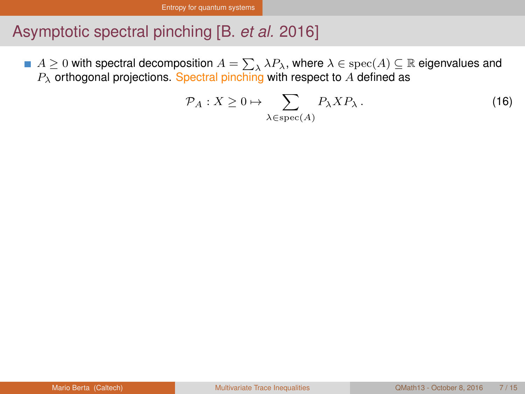# <span id="page-14-0"></span>Asymptotic spectral pinching [B. *et al.* 2016]

 $A \geq 0$  with spectral decomposition  $A = \sum_{\lambda} \lambda P_{\lambda}$ , where  $\lambda \in \text{spec}(A) \subseteq \mathbb{R}$  eigenvalues and  $P_{\lambda}$  orthogonal projections. Spectral pinching with respect to A defined as

$$
\mathcal{P}_A: X \ge 0 \mapsto \sum_{\lambda \in \text{spec}(A)} P_{\lambda} X P_{\lambda} \,. \tag{16}
$$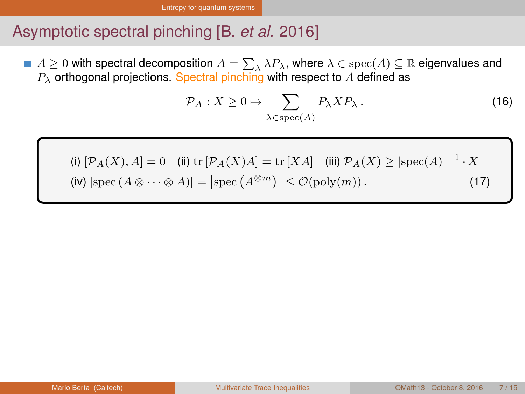# <span id="page-15-0"></span>Asymptotic spectral pinching [B. *et al.* 2016]

 $A \geq 0$  with spectral decomposition  $A = \sum_{\lambda} \lambda P_{\lambda}$ , where  $\lambda \in \text{spec}(A) \subseteq \mathbb{R}$  eigenvalues and  $P_{\lambda}$  orthogonal projections. Spectral pinching with respect to A defined as

$$
\mathcal{P}_A: X \ge 0 \mapsto \sum_{\lambda \in \text{spec}(A)} P_{\lambda} X P_{\lambda} . \tag{16}
$$

(i)  $[\mathcal{P}_A(X), A] = 0$  (ii) tr  $[\mathcal{P}_A(X)A] = \text{tr}[XA]$  (iii)  $\mathcal{P}_A(X) \geq |\text{spec}(A)|^{-1} \cdot X$  $(iv) |spec (A \otimes \cdots \otimes A)| = |spec (A^{\otimes m})| \leq \mathcal{O}(poly(m)).$  (17)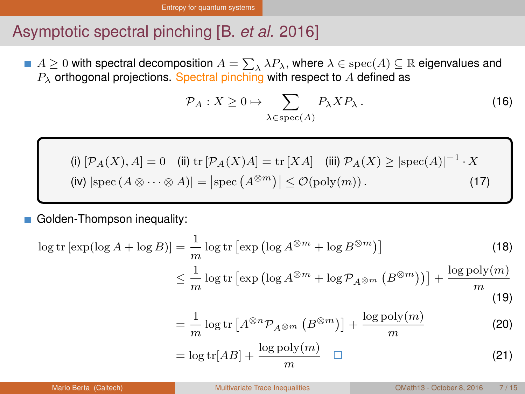### <span id="page-16-0"></span>Asymptotic spectral pinching [B. *et al.* 2016]

 $A \geq 0$  with spectral decomposition  $A = \sum_{\lambda} \lambda P_{\lambda}$ , where  $\lambda \in \text{spec}(A) \subseteq \mathbb{R}$  eigenvalues and  $P_{\lambda}$  orthogonal projections. Spectral pinching with respect to A defined as

$$
\mathcal{P}_A: X \ge 0 \mapsto \sum_{\lambda \in \text{spec}(A)} P_{\lambda} X P_{\lambda}.
$$
 (16)

(i) 
$$
[\mathcal{P}_A(X), A] = 0
$$
 (ii) tr  $[\mathcal{P}_A(X)A] = \text{tr}[XA]$  (iii)  $\mathcal{P}_A(X) \geq |\text{spec}(A)|^{-1} \cdot X$   
(iv)  $|\text{spec}(A \otimes \cdots \otimes A)| = |\text{spec}(A^{\otimes m})| \leq \mathcal{O}(\text{poly}(m)).$  (17)

Golden-Thompson inequality:

$$
\log tr \left[ \exp(\log A + \log B) \right] = \frac{1}{m} \log tr \left[ \exp \left( \log A^{\otimes m} + \log B^{\otimes m} \right) \right]
$$
(18)  

$$
\leq \frac{1}{m} \log tr \left[ \exp \left( \log A^{\otimes m} + \log \mathcal{P}_{A^{\otimes m}} \left( B^{\otimes m} \right) \right) \right] + \frac{\log \text{poly}(m)}{m}
$$

$$
(19)
$$

$$
= \frac{1}{m} \log \text{tr} \left[ A^{\otimes n} \mathcal{P}_{A^{\otimes m}} \left( B^{\otimes m} \right) \right] + \frac{\log \text{poly}(m)}{m} \tag{20}
$$

$$
= \log tr[AB] + \frac{\log poly(m)}{m} \quad \Box \tag{21}
$$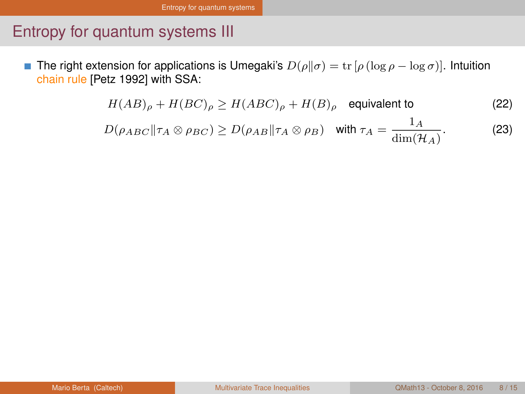# <span id="page-17-0"></span>Entropy for quantum systems III

The right extension for applications is Umegaki's  $D(\rho||\sigma) = \text{tr}[\rho(\log \rho - \log \sigma)]$ . Intuition × chain rule [Petz 1992] with SSA:

$$
H(AB)_{\rho} + H(BC)_{\rho} \ge H(ABC)_{\rho} + H(B)_{\rho} \quad \text{equivalent to} \tag{22}
$$

$$
D(\rho_{ABC}||\tau_A \otimes \rho_{BC}) \ge D(\rho_{AB}||\tau_A \otimes \rho_B) \quad \text{with } \tau_A = \frac{1_A}{\dim(\mathcal{H}_A)}.
$$
 (23)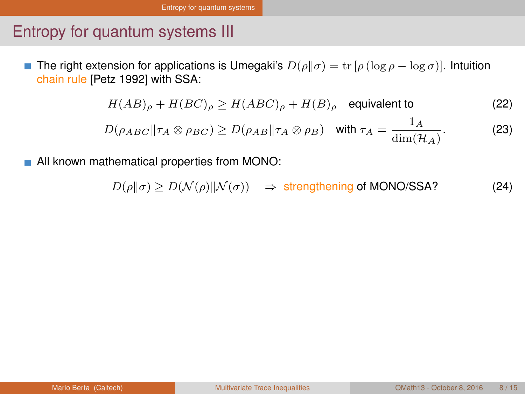# <span id="page-18-0"></span>Entropy for quantum systems III

The right extension for applications is Umegaki's  $D(\rho||\sigma) = \text{tr}[\rho(\log \rho - \log \sigma)]$ . Intuition П chain rule [Petz 1992] with SSA:

$$
H(AB)_{\rho} + H(BC)_{\rho} \ge H(ABC)_{\rho} + H(B)_{\rho} \quad \text{equivalent to} \tag{22}
$$

$$
D(\rho_{ABC}||\tau_A \otimes \rho_{BC}) \ge D(\rho_{AB}||\tau_A \otimes \rho_B) \quad \text{with } \tau_A = \frac{1_A}{\dim(\mathcal{H}_A)}.
$$
 (23)

All known mathematical properties from MONO:

$$
D(\rho \|\sigma) \ge D(\mathcal{N}(\rho) \|\mathcal{N}(\sigma)) \quad \Rightarrow \text{ strengthening of MONO/SSA?} \tag{24}
$$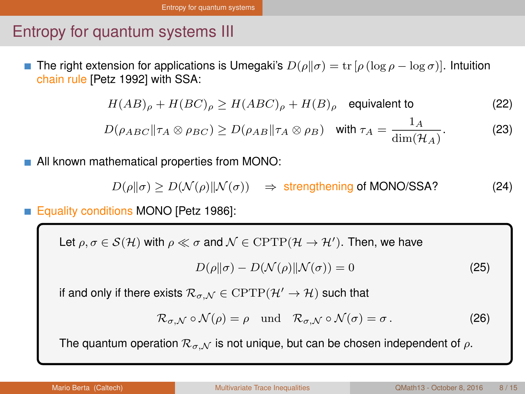#### <span id="page-19-0"></span>Entropy for quantum systems III

The right extension for applications is Umegaki's  $D(\rho||\sigma) = \text{tr}[\rho(\log \rho - \log \sigma)]$ . Intuition chain rule [Petz 1992] with SSA:

$$
H(AB)_{\rho} + H(BC)_{\rho} \ge H(ABC)_{\rho} + H(B)_{\rho} \quad \text{equivalent to} \tag{22}
$$

$$
D(\rho_{ABC}||\tau_A \otimes \rho_{BC}) \ge D(\rho_{AB}||\tau_A \otimes \rho_B) \quad \text{with } \tau_A = \frac{1_A}{\dim(\mathcal{H}_A)}.
$$
 (23)

All known mathematical properties from MONO:

$$
D(\rho \|\sigma) \ge D(\mathcal{N}(\rho) \|\mathcal{N}(\sigma)) \quad \Rightarrow \text{ strengthening of MONO/SSA?} \tag{24}
$$

Equality conditions MONO [Petz 1986]:

Let  $\rho, \sigma \in \mathcal{S}(\mathcal{H})$  with  $\rho \ll \sigma$  and  $\mathcal{N} \in \mathrm{CPTP}(\mathcal{H} \to \mathcal{H}^{\prime})$ . Then, we have

$$
D(\rho \|\sigma) - D(\mathcal{N}(\rho) \| \mathcal{N}(\sigma)) = 0 \tag{25}
$$

if and only if there exists  $\mathcal{R}_{\sigma,\mathcal{N}} \in \text{CPTP}(\mathcal{H}' \to \mathcal{H})$  such that

$$
\mathcal{R}_{\sigma,\mathcal{N}} \circ \mathcal{N}(\rho) = \rho \quad \text{und} \quad \mathcal{R}_{\sigma,\mathcal{N}} \circ \mathcal{N}(\sigma) = \sigma \,. \tag{26}
$$

The quantum operation  $\mathcal{R}_{\sigma,\mathcal{N}}$  is not unique, but can be chosen independent of  $\rho$ .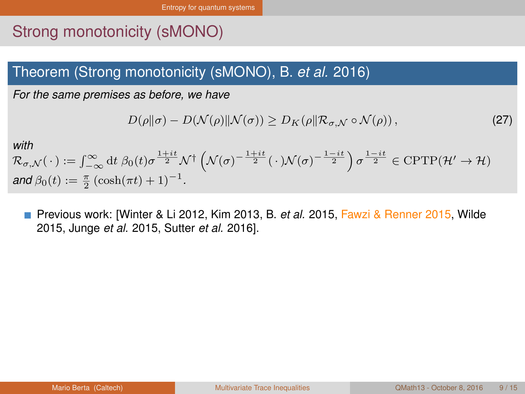# <span id="page-20-0"></span>Strong monotonicity (sMONO)

#### Theorem (Strong monotonicity (sMONO), B. *et al.* 2016)

*For the same premises as before, we have*

$$
D(\rho||\sigma) - D(\mathcal{N}(\rho)||\mathcal{N}(\sigma)) \ge D_K(\rho||\mathcal{R}_{\sigma,\mathcal{N}} \circ \mathcal{N}(\rho)),
$$
\n(27)

*with*

$$
\mathcal{R}_{\sigma,\mathcal{N}}(\cdot) := \int_{-\infty}^{\infty} dt \, \beta_0(t) \sigma^{\frac{1+it}{2}} \mathcal{N}^{\dagger} \left( \mathcal{N}(\sigma)^{-\frac{1+it}{2}} (\cdot) \mathcal{N}(\sigma)^{-\frac{1-it}{2}} \right) \sigma^{\frac{1-it}{2}} \in \text{CPTP}(\mathcal{H}' \to \mathcal{H})
$$
  
and  $\beta_0(t) := \frac{\pi}{2} \left( \cosh(\pi t) + 1 \right)^{-1}$ .

Previous work: [Winter & Li 2012, Kim 2013, B. *et al.* 2015, Fawzi & Renner 2015, Wilde H 2015, Junge *et al.* 2015, Sutter *et al.* 2016].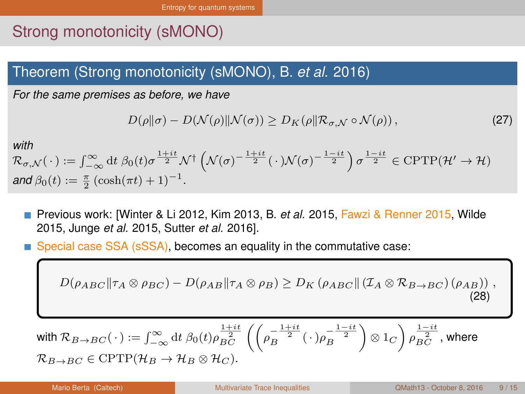# <span id="page-21-0"></span>Strong monotonicity (sMONO)

#### Theorem (Strong monotonicity (sMONO), B. *et al.* 2016)

*For the same premises as before, we have*

$$
D(\rho||\sigma) - D(\mathcal{N}(\rho)||\mathcal{N}(\sigma)) \ge D_K(\rho||\mathcal{R}_{\sigma,\mathcal{N}} \circ \mathcal{N}(\rho)),
$$
\n(27)

*with*

 $\mathcal{R}_{\sigma,\mathcal{N}}(\,\cdot\,):=\int_{-\infty}^{\infty}\mathrm{d} t\; \beta_0(t)\sigma^{\frac{1+it}{2}}\mathcal{N}^{\dagger}\left(\mathcal{N}(\sigma)^{-\frac{1+it}{2}}(\,\cdot\,)\mathcal{N}(\sigma)^{-\frac{1-it}{2}}\right)\sigma^{\frac{1-it}{2}}\in\mathrm{CPTP}(\mathcal{H}'\rightarrow\mathcal{H})$ *and*  $\beta_0(t) := \frac{\pi}{2} (\cosh(\pi t) + 1)^{-1}$ *.* 

- Previous work: [Winter & Li 2012, Kim 2013, B. *et al.* 2015, Fawzi & Renner 2015, Wilde 2015, Junge *et al.* 2015, Sutter *et al.* 2016].
- Special case SSA (sSSA), becomes an equality in the commutative case:

$$
D(\rho_{ABC}||\tau_A \otimes \rho_{BC}) - D(\rho_{AB}||\tau_A \otimes \rho_B) \ge D_K(\rho_{ABC}||(\mathcal{I}_A \otimes \mathcal{R}_{B \to BC})(\rho_{AB})) ,
$$
\n(28)

with 
$$
\mathcal{R}_{B\to BC}(\cdot) := \int_{-\infty}^{\infty} dt \ \beta_0(t) \rho_{BC}^{\frac{1+it}{2}} \left( \left( \rho_B^{-\frac{1+it}{2}} (\cdot) \rho_B^{-\frac{1-it}{2}} \right) \otimes 1_C \right) \rho_{BC}^{\frac{1-it}{2}}
$$
, where  
 $\mathcal{R}_{B\to BC} \in \text{CPTP}(\mathcal{H}_B \to \mathcal{H}_B \otimes \mathcal{H}_C).$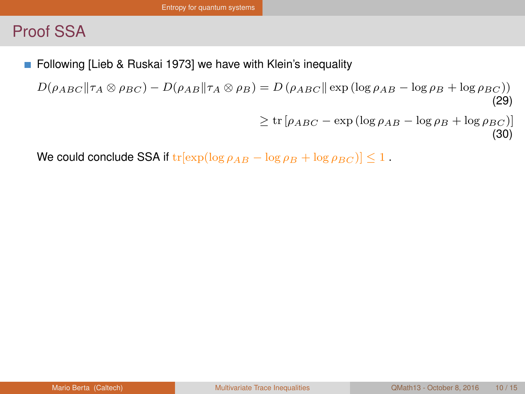<span id="page-22-0"></span>Following [Lieb & Ruskai 1973] we have with Klein's inequality П

 $D(\rho_{ABC}||\tau_A \otimes \rho_{BC}) - D(\rho_{AB}||\tau_A \otimes \rho_B) = D(\rho_{ABC}||\exp(\log \rho_{AB} - \log \rho_B + \log \rho_{BC}))$ (29)

```
\geq \text{tr} [\rho_{ABC} - \exp(\log \rho_{AB} - \log \rho_B + \log \rho_{BC})](30)
```
We could conclude SSA if  $tr[exp(log \rho_{AB} - log \rho_{B} + log \rho_{BC})] \leq 1$ .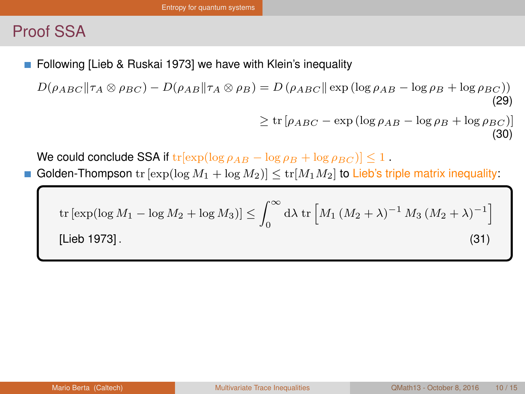<span id="page-23-0"></span>Following [Lieb & Ruskai 1973] we have with Klein's inequality

 $D(\rho_{ABC}||\tau_A \otimes \rho_{BC}) - D(\rho_{AB}||\tau_A \otimes \rho_B) = D(\rho_{ABC}||\exp(\log \rho_{AB} - \log \rho_B + \log \rho_{BC}))$ (29)  $\geq \text{tr} [\rho_{ABC} - \exp(\log \rho_{AB} - \log \rho_B + \log \rho_{BC})]$ 

We could conclude SSA if  $tr[exp(log \rho_{AB} - log \rho_{B} + log \rho_{BC})] \leq 1$ .

Golden-Thompson tr  $[\exp(\log M_1 + \log M_2)] \leq tr[M_1M_2]$  to Lieb's triple matrix inequality:

tr [exp(log 
$$
M_1
$$
 – log  $M_2$  + log  $M_3$ )]  $\leq \int_0^\infty d\lambda \text{ tr } [M_1 (M_2 + \lambda)^{-1} M_3 (M_2 + \lambda)^{-1}]$   
[Lieb 1973]. (31)

(30)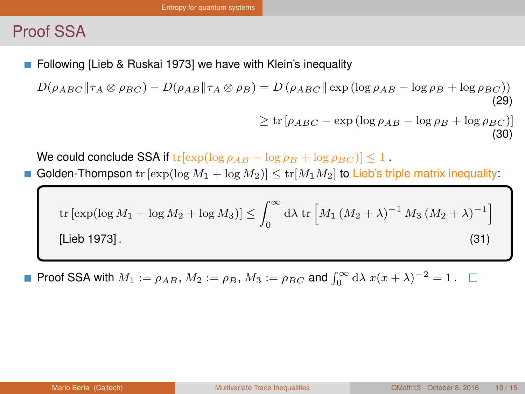<span id="page-24-0"></span>Following [Lieb & Ruskai 1973] we have with Klein's inequality

 $D(\rho_{ABC}||\tau_A \otimes \rho_{BC}) - D(\rho_{AB}||\tau_A \otimes \rho_B) = D(\rho_{ABC}||\exp(\log \rho_{AB} - \log \rho_B + \log \rho_{BC}))$ (29)  $\geq \text{tr} \left[ \rho_{ABC} - \text{exp} \left( \log \rho_{AB} - \log \rho_B + \log \rho_{BC} \right) \right]$ (30)

We could conclude SSA if  $tr[\exp(\log \rho_{AB} - \log \rho_B + \log \rho_{BC})] \leq 1$ .

Golden-Thompson tr  $[\exp(\log M_1 + \log M_2)] \leq tr[M_1M_2]$  to Lieb's triple matrix inequality:

tr [exp(log 
$$
M_1
$$
 – log  $M_2$  + log  $M_3$ )]  $\leq \int_0^\infty d\lambda \text{ tr } [M_1 (M_2 + \lambda)^{-1} M_3 (M_2 + \lambda)^{-1}]$   
[Lieb 1973]. (31)

Proof SSA with  $M_1 := \rho_{AB}$ ,  $M_2 := \rho_B$ ,  $M_3 := \rho_{BC}$  and  $\int_0^\infty d\lambda \, x(x + \lambda)^{-2} = 1$ .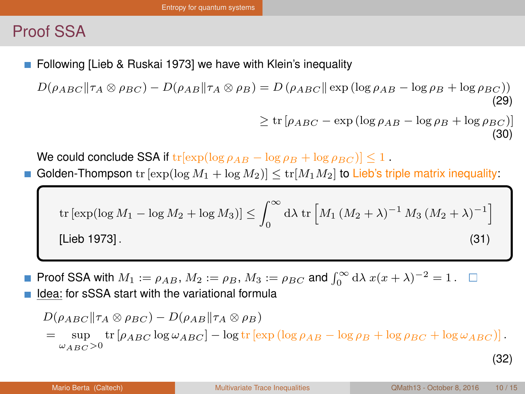<span id="page-25-0"></span>Following [Lieb & Ruskai 1973] we have with Klein's inequality

 $D(\rho_{ABC}||\tau_A \otimes \rho_{BC}) - D(\rho_{AB}||\tau_A \otimes \rho_B) = D(\rho_{ABC}||\exp(\log \rho_{AB} - \log \rho_B + \log \rho_{BC}))$ (29)  $\geq \text{tr} \left[ \rho_{ABC} - \text{exp} \left( \log \rho_{AB} - \log \rho_B + \log \rho_{BC} \right) \right]$ 

We could conclude SSA if  $tr[\exp(\log \rho_{AB} - \log \rho_B + \log \rho_{BC})] \leq 1$ .

Golden-Thompson tr  $[\exp(\log M_1 + \log M_2)] \leq tr[M_1M_2]$  to Lieb's triple matrix inequality:

tr [exp(log 
$$
M_1
$$
 – log  $M_2$  + log  $M_3$ )]  $\leq \int_0^\infty d\lambda \text{ tr} \left[ M_1 (M_2 + \lambda)^{-1} M_3 (M_2 + \lambda)^{-1} \right]$   
[Lieb 1973]. (31)

- Proof SSA with  $M_1 := \rho_{AB}$ ,  $M_2 := \rho_B$ ,  $M_3 := \rho_{BC}$  and  $\int_0^\infty d\lambda \, x(x + \lambda)^{-2} = 1$ .
- Idea: for sSSA start with the variational formula

$$
D(\rho_{ABC}||\tau_A \otimes \rho_{BC}) - D(\rho_{AB}||\tau_A \otimes \rho_B)
$$
  
= 
$$
\sup_{\omega_{ABC} > 0} \text{tr}[\rho_{ABC} \log \omega_{ABC}] - \log \text{tr}[\exp(\log \rho_{AB} - \log \rho_B + \log \rho_{BC} + \log \omega_{ABC})].
$$
 (32)

(30)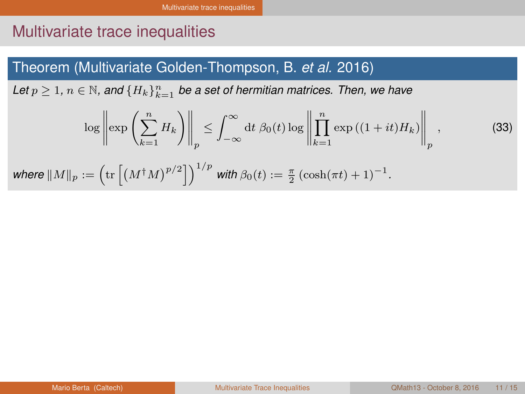# <span id="page-26-0"></span>Multivariate trace inequalities

#### Theorem (Multivariate Golden-Thompson, B. *et al.* 2016)

Let  $p \geq 1$ ,  $n \in \mathbb{N}$ , and  $\{H_k\}_{k=1}^n$  be a set of hermitian matrices. Then, we have

$$
\log \left\| \exp \left( \sum_{k=1}^{n} H_k \right) \right\|_p \le \int_{-\infty}^{\infty} dt \, \beta_0(t) \log \left\| \prod_{k=1}^{n} \exp \left( (1+it) H_k \right) \right\|_p,
$$
\n(33)

\nwhere  $||M||_p := \left( \text{tr} \left[ \left( M^{\dagger} M \right)^{p/2} \right] \right)^{1/p}$  with  $\beta_0(t) := \frac{\pi}{2} \left( \cosh(\pi t) + 1 \right)^{-1}.$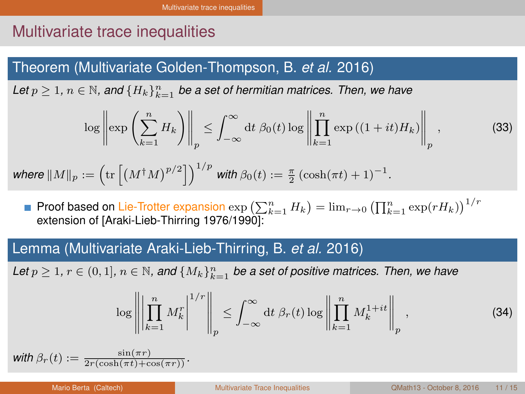# <span id="page-27-0"></span>Multivariate trace inequalities

#### Theorem (Multivariate Golden-Thompson, B. *et al.* 2016)

Let  $p \geq 1$ ,  $n \in \mathbb{N}$ , and  $\{H_k\}_{k=1}^n$  be a set of hermitian matrices. Then, we have

$$
\log \left\| \exp \left( \sum_{k=1}^{n} H_k \right) \right\|_p \le \int_{-\infty}^{\infty} dt \, \beta_0(t) \log \left\| \prod_{k=1}^{n} \exp \left( (1+it) H_k \right) \right\|_p, \tag{33}
$$

$$
\text{where } \|M\|_p := \left( \text{tr}\left[\left(M^\dagger M\right)^{p/2}\right]\right)^{1/p} \text{ with } \beta_0(t) := \tfrac{\pi}{2}\left(\cosh(\pi t) + 1\right)^{-1}.
$$

Proof based on Lie-Trotter expansion  $\exp\left(\sum_{k=1}^n H_k\right) = \lim_{r\to 0} \left(\prod_{k=1}^n \exp(rH_k)\right)^{1/r}$ extension of [Araki-Lieb-Thirring 1976/1990]:

#### Lemma (Multivariate Araki-Lieb-Thirring, B. *et al.* 2016)

Let  $p \geq 1$ ,  $r \in (0,1]$ ,  $n \in \mathbb{N}$ , and  $\{M_k\}_{k=1}^n$  be a set of positive matrices. Then, we have

$$
\log \left\| \left| \prod_{k=1}^{n} M_k^r \right|^{1/r} \right\|_p \le \int_{-\infty}^{\infty} dt \, \beta_r(t) \log \left\| \prod_{k=1}^{n} M_k^{1+it} \right\|_p,
$$
\n(34)

with  $\beta_r(t) := \frac{\sin(\pi r)}{2r(\cosh(\pi t)+\cos(\pi r))}$ .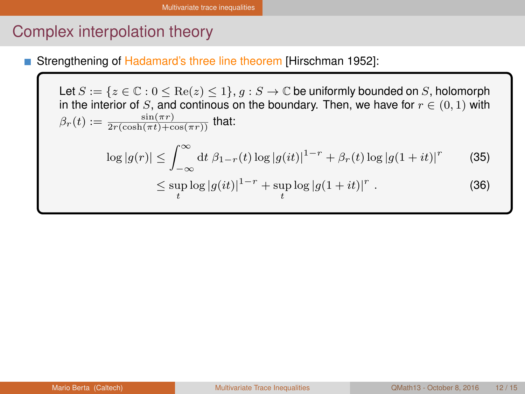# <span id="page-28-0"></span>Complex interpolation theory

Strengthening of Hadamard's three line theorem [Hirschman 1952]:

Let  $S := \{z \in \mathbb{C} : 0 \leq \text{Re}(z) \leq 1\}, g : S \to \mathbb{C}$  be uniformly bounded on S, holomorph in the interior of S, and continous on the boundary. Then, we have for  $r \in (0,1)$  with  $\beta_r(t) := \frac{\sin(\pi r)}{2r(\cosh(\pi t) + \cos(\pi r))}$  that:  $\log|g(r)| \leq \int_{-\infty}^{\infty} dt \, \beta_{1-r}(t) \log|g(it)|^{1-r} + \beta_r(t) \log|g(1+it)|^r$ (35)  $\leq \sup_{t} \log |g(it)|^{1-r} + \sup_{t} \log |g(1+it)|^{r}$ . (36)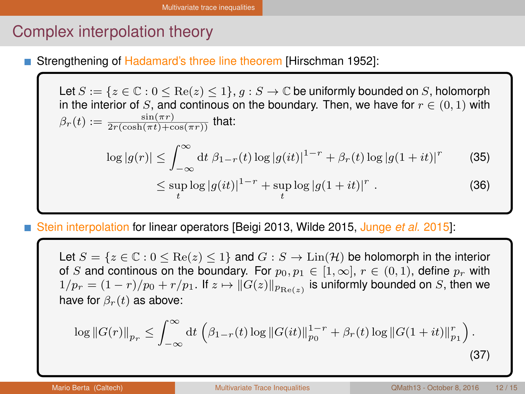# <span id="page-29-0"></span>Complex interpolation theory

Strengthening of Hadamard's three line theorem [Hirschman 1952]:

Let  $S := \{z \in \mathbb{C} : 0 \le \text{Re}(z) \le 1\}$ ,  $q : S \to \mathbb{C}$  be uniformly bounded on S, holomorph in the interior of S, and continous on the boundary. Then, we have for  $r \in (0,1)$  with  $\beta_r(t) := \frac{\sin(\pi r)}{2r(\cosh(\pi t) + \cos(\pi r))}$  that:  $\log|g(r)| \leq \int_{-\infty}^{\infty} dt \, \beta_{1-r}(t) \log|g(it)|^{1-r} + \beta_r(t) \log|g(1+it)|^r$ (35)  $\leq \sup_{t} \log |g(it)|^{1-r} + \sup_{t} \log |g(1+it)|^{r}$ . (36)

Stein interpolation for linear operators [Beigi 2013, Wilde 2015, Junge *et al.* 2015]:

Let  $S = \{z \in \mathbb{C} : 0 \le \text{Re}(z) \le 1\}$  and  $G : S \to \text{Lin}(\mathcal{H})$  be holomorph in the interior of S and continous on the boundary. For  $p_0, p_1 \in [1, \infty]$ ,  $r \in (0, 1)$ , define  $p_r$  with  $1/p_r = (1-r)/p_0 + r/p_1.$  If  $z \mapsto \|G(z)\|_{p_{\mathop{\mathrm{Re}}(z)}}$  is uniformly bounded on  $S,$  then we have for  $\beta_r(t)$  as above:

$$
\log ||G(r)||_{p_r} \le \int_{-\infty}^{\infty} dt \left( \beta_{1-r}(t) \log ||G(it)||_{p_0}^{1-r} + \beta_r(t) \log ||G(1+it)||_{p_1}^r \right).
$$
\n(37)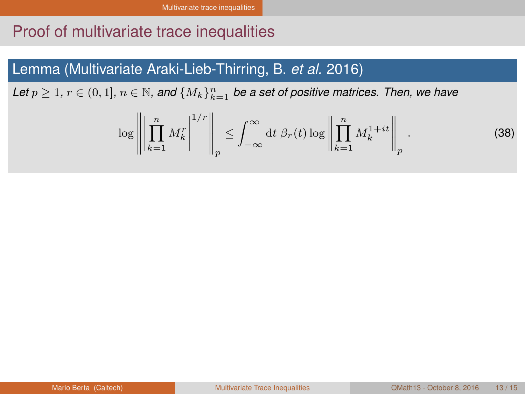### <span id="page-30-0"></span>Proof of multivariate trace inequalities

#### Lemma (Multivariate Araki-Lieb-Thirring, B. *et al.* 2016)

Let  $p \geq 1$ ,  $r \in (0,1]$ ,  $n \in \mathbb{N}$ , and  $\{M_k\}_{k=1}^n$  be a set of positive matrices. Then, we have

<span id="page-30-2"></span><span id="page-30-1"></span>
$$
\log \left\| \left| \prod_{k=1}^{n} M_k^r \right|^{1/r} \right\|_p \le \int_{-\infty}^{\infty} dt \, \beta_r(t) \log \left\| \prod_{k=1}^{n} M_k^{1+it} \right\|_p. \tag{38}
$$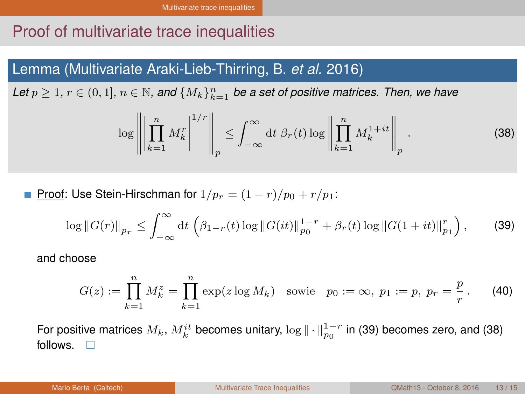# <span id="page-31-0"></span>Proof of multivariate trace inequalities

#### Lemma (Multivariate Araki-Lieb-Thirring, B. *et al.* 2016)

Let  $p \geq 1$ ,  $r \in (0,1]$ ,  $n \in \mathbb{N}$ , and  $\{M_k\}_{k=1}^n$  be a set of positive matrices. Then, we have

$$
\log \left\| \left| \prod_{k=1}^{n} M_k^r \right|^{1/r} \right\|_p \le \int_{-\infty}^{\infty} dt \, \beta_r(t) \log \left\| \prod_{k=1}^{n} M_k^{1+it} \right\|_p. \tag{38}
$$

Proof: Use Stein-Hirschman for  $1/p_r = (1 - r)/p_0 + r/p_1$ :

$$
\log ||G(r)||_{p_r} \le \int_{-\infty}^{\infty} dt \left( \beta_{1-r}(t) \log ||G(it)||_{p_0}^{1-r} + \beta_r(t) \log ||G(1+it)||_{p_1}^r \right), \tag{39}
$$

and choose

$$
G(z) := \prod_{k=1}^{n} M_k^{z} = \prod_{k=1}^{n} \exp(z \log M_k) \text{ sowie } p_0 := \infty, \ p_1 := p, \ p_r = \frac{p}{r}. \tag{40}
$$

For positive matrices  $M_k, M_k^{it}$  becomes unitary,  $\log \| \cdot \|_{p_0}^{1-r}$  in [\(39\)](#page-30-1) becomes zero, and [\(38\)](#page-30-2) follows.  $\Box$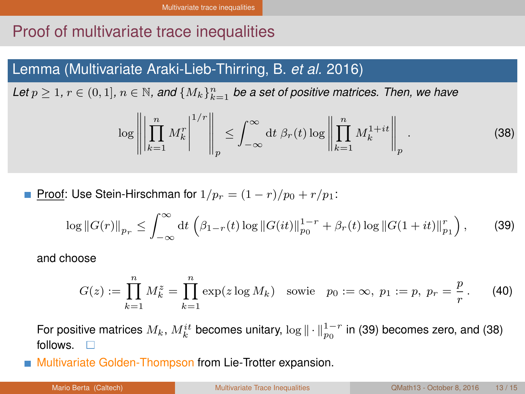# <span id="page-32-0"></span>Proof of multivariate trace inequalities

#### Lemma (Multivariate Araki-Lieb-Thirring, B. *et al.* 2016)

Let  $p \geq 1$ ,  $r \in (0,1]$ ,  $n \in \mathbb{N}$ , and  $\{M_k\}_{k=1}^n$  be a set of positive matrices. Then, we have

$$
\log \left\| \left| \prod_{k=1}^{n} M_k^r \right|^{1/r} \right\|_p \le \int_{-\infty}^{\infty} dt \, \beta_r(t) \log \left\| \prod_{k=1}^{n} M_k^{1+it} \right\|_p. \tag{38}
$$

Proof: Use Stein-Hirschman for  $1/p_r = (1 - r)/p_0 + r/p_1$ :

$$
\log ||G(r)||_{p_r} \le \int_{-\infty}^{\infty} dt \left( \beta_{1-r}(t) \log ||G(it)||_{p_0}^{1-r} + \beta_r(t) \log ||G(1+it)||_{p_1}^r \right), \tag{39}
$$

and choose

$$
G(z) := \prod_{k=1}^{n} M_k^{z} = \prod_{k=1}^{n} \exp(z \log M_k) \text{ sowie } p_0 := \infty, \ p_1 := p, \ p_r = \frac{p}{r}. \tag{40}
$$

For positive matrices  $M_k, M_k^{it}$  becomes unitary,  $\log \| \cdot \|_{p_0}^{1-r}$  in [\(39\)](#page-30-1) becomes zero, and [\(38\)](#page-30-2) follows  $\Box$ 

Multivariate Golden-Thompson from Lie-Trotter expansion.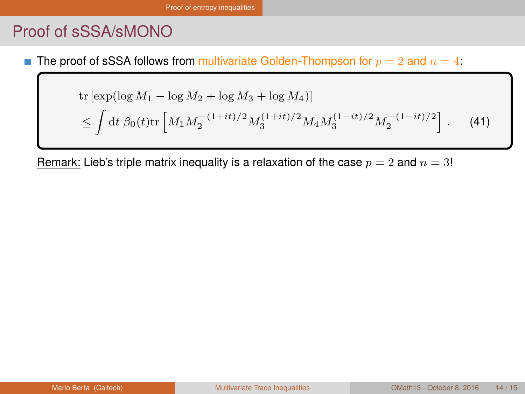# <span id="page-33-0"></span>Proof of sSSA/sMONO

The proof of sSSA follows from multivariate Golden-Thompson for  $p = 2$  and  $n = 4$ :

tr [exp(log 
$$
M_1
$$
 – log  $M_2$  + log  $M_3$  + log  $M_4$ )]  
\n
$$
\leq \int dt \, \beta_0(t) tr \left[ M_1 M_2^{-(1+it)/2} M_3^{(1+it)/2} M_4 M_3^{(1-it)/2} M_2^{-(1-it)/2} \right].
$$
 (41)

Remark: Lieb's triple matrix inequality is a relaxation of the case  $p = 2$  and  $n = 3!$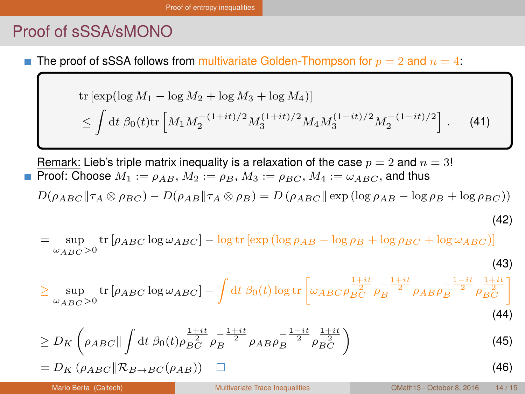# <span id="page-34-0"></span>Proof of sSSA/sMONO

The proof of sSSA follows from multivariate Golden-Thompson for  $p = 2$  and  $n = 4$ . п

tr [exp(log 
$$
M_1
$$
 – log  $M_2$  + log  $M_3$  + log  $M_4$ )]  
\n
$$
\leq \int dt \, \beta_0(t) tr \left[ M_1 M_2^{-(1+it)/2} M_3^{(1+it)/2} M_4 M_3^{(1-it)/2} M_2^{-(1-it)/2} \right].
$$
 (41)

Remark: Lieb's triple matrix inequality is a relaxation of the case  $p = 2$  and  $n = 3!$ Proof: Choose  $M_1 := \rho_{AB}$ ,  $M_2 := \rho_B$ ,  $M_3 := \rho_{BC}$ ,  $M_4 := \omega_{ABC}$ , and thus

$$
D(\rho_{ABC}||\tau_A \otimes \rho_{BC}) - D(\rho_{AB}||\tau_A \otimes \rho_B) = D(\rho_{ABC}||\exp(\log \rho_{AB} - \log \rho_B + \log \rho_{BC}))
$$

$$
^{(42)}
$$

sup  $\omega_{ABC} > 0$ tr  $[\rho_{ABC} \log \omega_{ABC}] - \log \text{tr} [\exp (\log \rho_{AB} - \log \rho_B + \log \rho_{BC} + \log \omega_{ABC})]$ (43)

$$
\geq \sup_{\omega_{ABC}>0} \text{tr}\left[\rho_{ABC}\log\omega_{ABC}\right] - \int dt \,\beta_0(t) \log \text{tr}\left[\omega_{ABC}\rho_{BC}^{\frac{1+it}{2}}\rho_B^{-\frac{1+it}{2}}\rho_{AB}\rho_B^{-\frac{1-it}{2}}\rho_{BC}^{\frac{1+it}{2}}\right]
$$
\n(44)

$$
\geq D_K \left( \rho_{ABC} \| \int dt \; \beta_0(t) \rho_{BC}^{\frac{1+it}{2}} \rho_B^{-\frac{1+it}{2}} \rho_{AB} \rho_B^{-\frac{1-it}{2}} \rho_{BC}^{\frac{1+it}{2}} \right) \tag{45}
$$

$$
=D_K\left(\rho_{ABC}\|\mathcal{R}_{B\to BC}(\rho_{AB})\right)\quad \Box\tag{46}
$$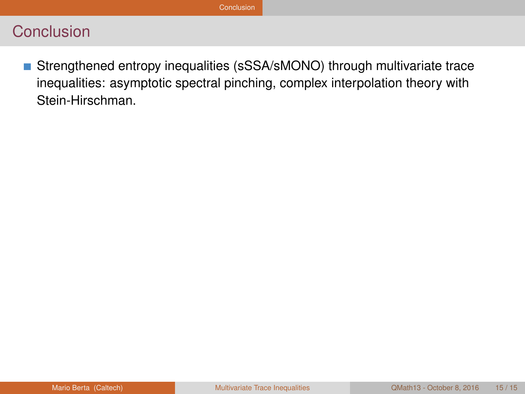<span id="page-35-0"></span>Strengthened entropy inequalities (sSSA/sMONO) through multivariate trace inequalities: asymptotic spectral pinching, complex interpolation theory with Stein-Hirschman.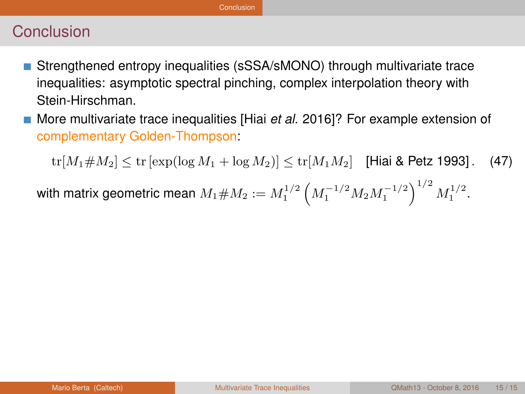- <span id="page-36-0"></span>Strengthened entropy inequalities (sSSA/sMONO) through multivariate trace inequalities: asymptotic spectral pinching, complex interpolation theory with Stein-Hirschman.
- More multivariate trace inequalities [Hiai *et al.* 2016]? For example extension of complementary Golden-Thompson:

 $tr[M_1 \# M_2] \le tr[\exp(\log M_1 + \log M_2)] \le tr[M_1 M_2]$  [Hiai & Petz 1993]. (47)

with matrix geometric mean  $M_1 \# M_2 := M_1^{1/2} \left( M_1^{-1/2} M_2 M_1^{-1/2} \right)^{1/2} M_1^{1/2}.$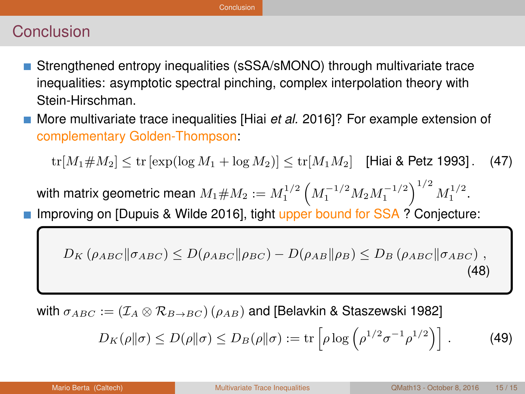#### <span id="page-37-0"></span>Conclusion

- Strengthened entropy inequalities (sSSA/sMONO) through multivariate trace inequalities: asymptotic spectral pinching, complex interpolation theory with Stein-Hirschman.
- More multivariate trace inequalities [Hiai *et al.* 2016]? For example extension of complementary Golden-Thompson:

 $tr[M_1 \# M_2] \le tr[\exp(\log M_1 + \log M_2)] \le tr[M_1 M_2]$  [Hiai & Petz 1993]. (47)

with matrix geometric mean  $M_1 \# M_2 := M_1^{1/2} \left( M_1^{-1/2} M_2 M_1^{-1/2} \right)^{1/2} M_1^{1/2}.$ 

Improving on [Dupuis & Wilde 2016], tight upper bound for SSA ? Conjecture:

$$
D_K \left( \rho_{ABC} || \sigma_{ABC} \right) \le D(\rho_{ABC} || \rho_{BC}) - D(\rho_{AB} || \rho_B) \le D_B \left( \rho_{ABC} || \sigma_{ABC} \right), \tag{48}
$$

with  $\sigma_{ABC} := (\mathcal{I}_A \otimes \mathcal{R}_{B\rightarrow BC}) (\rho_{AB})$  and [Belavkin & Staszewski 1982]

$$
D_K(\rho \|\sigma) \le D(\rho \|\sigma) \le D_B(\rho \|\sigma) := \text{tr}\left[\rho \log \left(\rho^{1/2} \sigma^{-1} \rho^{1/2}\right)\right].\tag{49}
$$